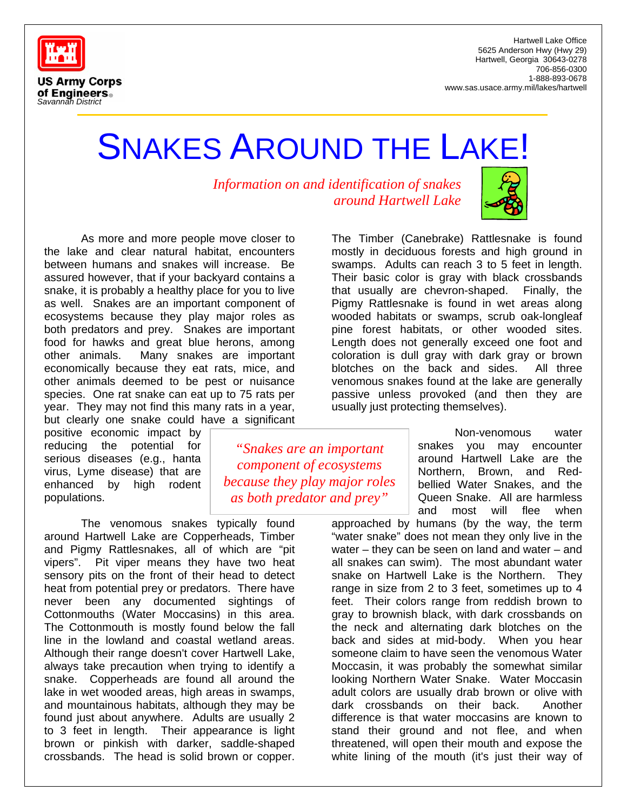

Hartwell Lake Office 5625 Anderson Hwy (Hwy 29) Hartwell, Georgia 30643-0278 706-856-0300 1-888-893-0678 www.sas.usace.army.mil/lakes/hartwell

## SNAKES AROUND THE LAKE!

*Information on and identification of snakes around Hartwell Lake* 

As more and more people move closer to the lake and clear natural habitat, encounters between humans and snakes will increase. Be assured however, that if your backyard contains a snake, it is probably a healthy place for you to live as well. Snakes are an important component of ecosystems because they play major roles as both predators and prey. Snakes are important food for hawks and great blue herons, among other animals. Many snakes are important economically because they eat rats, mice, and other animals deemed to be pest or nuisance species. One rat snake can eat up to 75 rats per year. They may not find this many rats in a year, but clearly one snake could have a significant

positive economic impact by reducing the potential for serious diseases (e.g., hanta virus, Lyme disease) that are enhanced by high rodent populations.

The venomous snakes typically found around Hartwell Lake are Copperheads, Timber and Pigmy Rattlesnakes, all of which are "pit vipers". Pit viper means they have two heat sensory pits on the front of their head to detect heat from potential prey or predators. There have never been any documented sightings of Cottonmouths (Water Moccasins) in this area. The Cottonmouth is mostly found below the fall line in the lowland and coastal wetland areas. Although their range doesn't cover Hartwell Lake, always take precaution when trying to identify a snake. Copperheads are found all around the lake in wet wooded areas, high areas in swamps, and mountainous habitats, although they may be found just about anywhere. Adults are usually 2 to 3 feet in length. Their appearance is light brown or pinkish with darker, saddle-shaped crossbands. The head is solid brown or copper.

*"Snakes are an important component of ecosystems because they play major roles as both predator and prey"*

The Timber (Canebrake) Rattlesnake is found mostly in deciduous forests and high ground in swamps. Adults can reach 3 to 5 feet in length. Their basic color is gray with black crossbands that usually are chevron-shaped. Finally, the Pigmy Rattlesnake is found in wet areas along wooded habitats or swamps, scrub oak-longleaf pine forest habitats, or other wooded sites. Length does not generally exceed one foot and coloration is dull gray with dark gray or brown blotches on the back and sides. All three venomous snakes found at the lake are generally passive unless provoked (and then they are usually just protecting themselves).

> Non-venomous water snakes you may encounter around Hartwell Lake are the Northern, Brown, and Redbellied Water Snakes, and the Queen Snake. All are harmless and most will flee when

approached by humans (by the way, the term "water snake" does not mean they only live in the water – they can be seen on land and water – and all snakes can swim). The most abundant water snake on Hartwell Lake is the Northern. They range in size from 2 to 3 feet, sometimes up to 4 feet. Their colors range from reddish brown to gray to brownish black, with dark crossbands on the neck and alternating dark blotches on the back and sides at mid-body. When you hear someone claim to have seen the venomous Water Moccasin, it was probably the somewhat similar looking Northern Water Snake. Water Moccasin adult colors are usually drab brown or olive with dark crossbands on their back. Another difference is that water moccasins are known to stand their ground and not flee, and when threatened, will open their mouth and expose the white lining of the mouth (it's just their way of